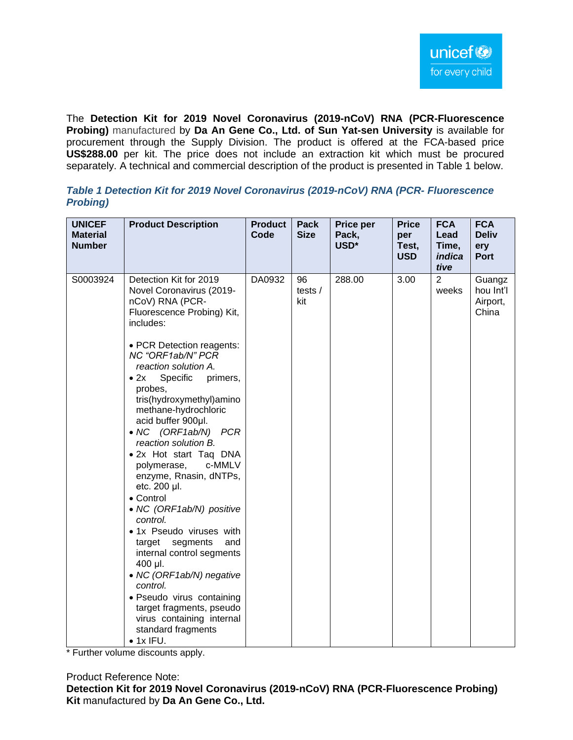The **Detection Kit for 2019 Novel Coronavirus (2019-nCoV) RNA (PCR-Fluorescence Probing)** manufactured by **Da An Gene Co., Ltd. of Sun Yat-sen University** is available for procurement through the Supply Division. The product is offered at the FCA-based price **US\$288.00** per kit. The price does not include an extraction kit which must be procured separately. A technical and commercial description of the product is presented in Table 1 below.

| <b>UNICEF</b><br><b>Material</b><br><b>Number</b> | <b>Product Description</b>                                                                                                                                                                                                                                                                                                                                                                                                                                                                                                                                              | <b>Product</b><br>Code | Pack<br><b>Size</b>  | Price per<br>Pack,<br>USD* | <b>Price</b><br>per<br>Test,<br><b>USD</b> | <b>FCA</b><br>Lead<br>Time,<br>indica<br>tive | <b>FCA</b><br><b>Deliv</b><br>ery<br><b>Port</b> |
|---------------------------------------------------|-------------------------------------------------------------------------------------------------------------------------------------------------------------------------------------------------------------------------------------------------------------------------------------------------------------------------------------------------------------------------------------------------------------------------------------------------------------------------------------------------------------------------------------------------------------------------|------------------------|----------------------|----------------------------|--------------------------------------------|-----------------------------------------------|--------------------------------------------------|
| S0003924                                          | Detection Kit for 2019<br>Novel Coronavirus (2019-<br>nCoV) RNA (PCR-<br>Fluorescence Probing) Kit,<br>includes:                                                                                                                                                                                                                                                                                                                                                                                                                                                        | DA0932                 | 96<br>tests /<br>kit | 288.00                     | 3.00                                       | $\overline{2}$<br>weeks                       | Guangz<br>hou Int'l<br>Airport,<br>China         |
|                                                   | • PCR Detection reagents:<br>NC "ORF1ab/N" PCR<br>reaction solution A.<br>$\bullet$ 2x<br>Specific<br>primers,<br>probes,<br>tris(hydroxymethyl)amino<br>methane-hydrochloric<br>acid buffer 900µl.<br>• NC (ORF1ab/N) PCR<br>reaction solution B.<br>• 2x Hot start Taq DNA<br>polymerase,<br>c-MMLV<br>enzyme, Rnasin, dNTPs,<br>etc. 200 µl.<br>• Control<br>• NC (ORF1ab/N) positive<br>control.<br>• 1x Pseudo viruses with<br>target segments<br>and<br>internal control segments<br>400 µl.<br>• NC (ORF1ab/N) negative<br>control.<br>· Pseudo virus containing |                        |                      |                            |                                            |                                               |                                                  |
|                                                   | target fragments, pseudo<br>virus containing internal<br>standard fragments<br>$\bullet$ 1x IFU.                                                                                                                                                                                                                                                                                                                                                                                                                                                                        |                        |                      |                            |                                            |                                               |                                                  |

## *Table 1 Detection Kit for 2019 Novel Coronavirus (2019-nCoV) RNA (PCR- Fluorescence Probing)*

\* Further volume discounts apply.

Product Reference Note:

**Detection Kit for 2019 Novel Coronavirus (2019-nCoV) RNA (PCR-Fluorescence Probing) Kit** manufactured by **Da An Gene Co., Ltd.**